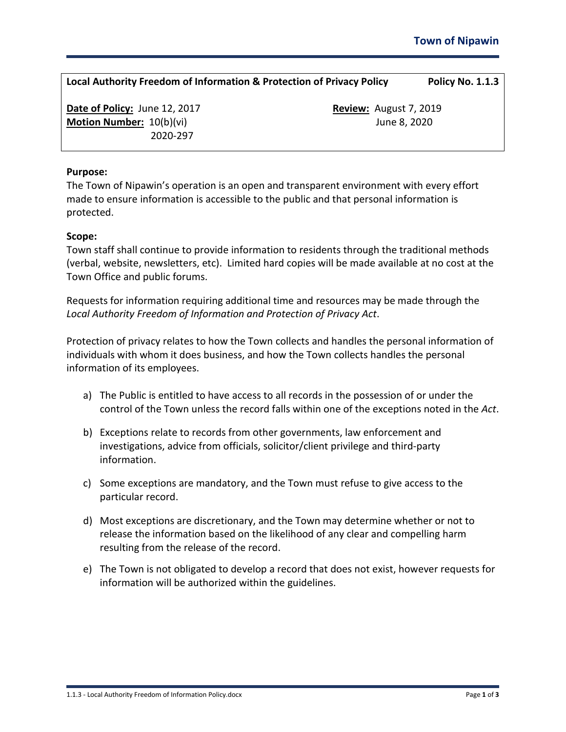| Local Authority Freedom of Information & Protection of Privacy Policy | Policy No. 1.1.3 |
|-----------------------------------------------------------------------|------------------|
|                                                                       |                  |

**Date of Policy:** June 12, 2017 **Review:** August 7, 2019 **Motion Number:**  $10(b)(vi)$  **June 8, 2020** 2020-297

### **Purpose:**

The Town of Nipawin's operation is an open and transparent environment with every effort made to ensure information is accessible to the public and that personal information is protected.

#### **Scope:**

Town staff shall continue to provide information to residents through the traditional methods (verbal, website, newsletters, etc). Limited hard copies will be made available at no cost at the Town Office and public forums.

Requests for information requiring additional time and resources may be made through the *Local Authority Freedom of Information and Protection of Privacy Act*.

Protection of privacy relates to how the Town collects and handles the personal information of individuals with whom it does business, and how the Town collects handles the personal information of its employees.

- a) The Public is entitled to have access to all records in the possession of or under the control of the Town unless the record falls within one of the exceptions noted in the *Act*.
- b) Exceptions relate to records from other governments, law enforcement and investigations, advice from officials, solicitor/client privilege and third-party information.
- c) Some exceptions are mandatory, and the Town must refuse to give access to the particular record.
- d) Most exceptions are discretionary, and the Town may determine whether or not to release the information based on the likelihood of any clear and compelling harm resulting from the release of the record.
- e) The Town is not obligated to develop a record that does not exist, however requests for information will be authorized within the guidelines.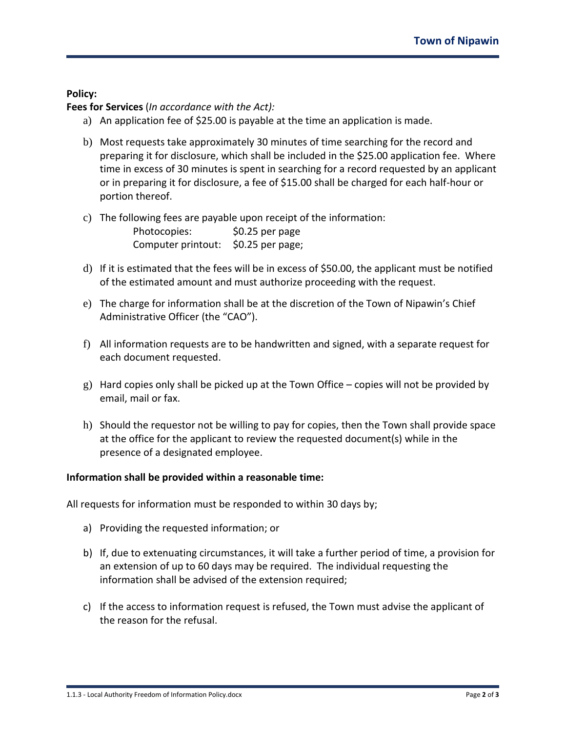## **Policy:**

**Fees for Services** (*In accordance with the Act):*

- a) An application fee of \$25.00 is payable at the time an application is made.
- b) Most requests take approximately 30 minutes of time searching for the record and preparing it for disclosure, which shall be included in the \$25.00 application fee. Where time in excess of 30 minutes is spent in searching for a record requested by an applicant or in preparing it for disclosure, a fee of \$15.00 shall be charged for each half-hour or portion thereof.
- c) The following fees are payable upon receipt of the information:

| Photocopies:       | $$0.25$ per page |
|--------------------|------------------|
| Computer printout: | \$0.25 per page; |

- d) If it is estimated that the fees will be in excess of \$50.00, the applicant must be notified of the estimated amount and must authorize proceeding with the request.
- e) The charge for information shall be at the discretion of the Town of Nipawin's Chief Administrative Officer (the "CAO").
- f) All information requests are to be handwritten and signed, with a separate request for each document requested.
- g) Hard copies only shall be picked up at the Town Office copies will not be provided by email, mail or fax.
- h) Should the requestor not be willing to pay for copies, then the Town shall provide space at the office for the applicant to review the requested document(s) while in the presence of a designated employee.

## **Information shall be provided within a reasonable time:**

All requests for information must be responded to within 30 days by;

- a) Providing the requested information; or
- b) If, due to extenuating circumstances, it will take a further period of time, a provision for an extension of up to 60 days may be required. The individual requesting the information shall be advised of the extension required;
- c) If the access to information request is refused, the Town must advise the applicant of the reason for the refusal.